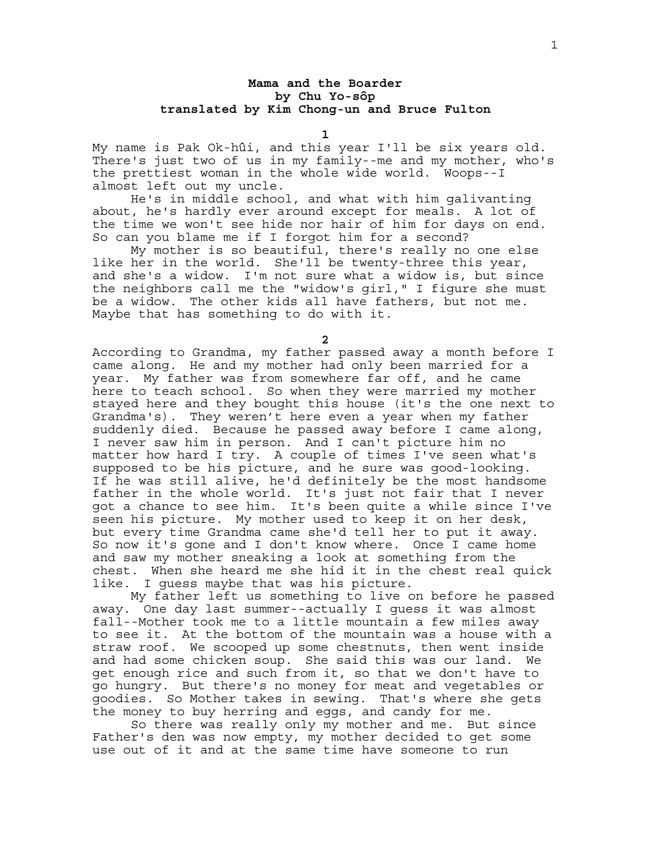## **Mama and the Boarder by Chu Yo-sôp translated by Kim Chong-un and Bruce Fulton**

**1**

My name is Pak Ok-hûi, and this year I'll be six years old. There's just two of us in my family--me and my mother, who's the prettiest woman in the whole wide world. Woops--I almost left out my uncle.

 He's in middle school, and what with him galivanting about, he's hardly ever around except for meals. A lot of the time we won't see hide nor hair of him for days on end. So can you blame me if I forgot him for a second?

 My mother is so beautiful, there's really no one else like her in the world. She'll be twenty-three this year, and she's a widow. I'm not sure what a widow is, but since the neighbors call me the "widow's girl," I figure she must be a widow. The other kids all have fathers, but not me. Maybe that has something to do with it.

**2**

According to Grandma, my father passed away a month before I came along. He and my mother had only been married for a year. My father was from somewhere far off, and he came here to teach school. So when they were married my mother stayed here and they bought this house (it's the one next to Grandma's). They weren't here even a year when my father suddenly died. Because he passed away before I came along, I never saw him in person. And I can't picture him no matter how hard I try. A couple of times I've seen what's supposed to be his picture, and he sure was good-looking. If he was still alive, he'd definitely be the most handsome father in the whole world. It's just not fair that I never got a chance to see him. It's been quite a while since I've seen his picture. My mother used to keep it on her desk, but every time Grandma came she'd tell her to put it away. So now it's gone and I don't know where. Once I came home and saw my mother sneaking a look at something from the chest. When she heard me she hid it in the chest real quick like. I guess maybe that was his picture.

 My father left us something to live on before he passed away. One day last summer--actually I guess it was almost fall--Mother took me to a little mountain a few miles away to see it. At the bottom of the mountain was a house with a straw roof. We scooped up some chestnuts, then went inside and had some chicken soup. She said this was our land. We get enough rice and such from it, so that we don't have to go hungry. But there's no money for meat and vegetables or goodies. So Mother takes in sewing. That's where she gets the money to buy herring and eggs, and candy for me.

 So there was really only my mother and me. But since Father's den was now empty, my mother decided to get some use out of it and at the same time have someone to run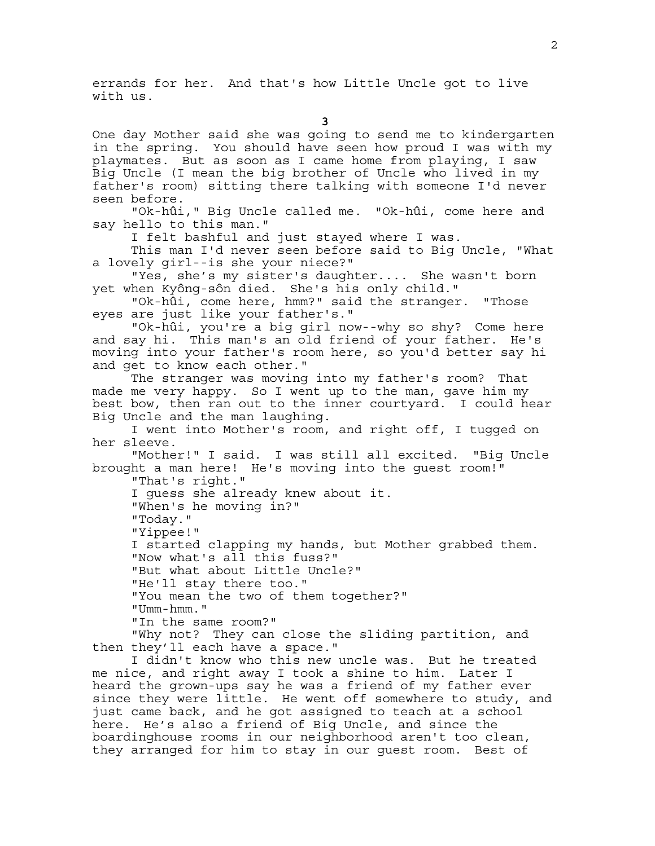errands for her. And that's how Little Uncle got to live with us.

**3**

One day Mother said she was going to send me to kindergarten in the spring. You should have seen how proud I was with my playmates. But as soon as I came home from playing, I saw Big Uncle (I mean the big brother of Uncle who lived in my father's room) sitting there talking with someone I'd never seen before.

 "Ok-hûi," Big Uncle called me. "Ok-hûi, come here and say hello to this man."

I felt bashful and just stayed where I was.

 This man I'd never seen before said to Big Uncle, "What a lovely girl--is she your niece?"

 "Yes, she's my sister's daughter.... She wasn't born yet when Kyông-sôn died. She's his only child."

 "Ok-hûi, come here, hmm?" said the stranger. "Those eyes are just like your father's."

 "Ok-hûi, you're a big girl now--why so shy? Come here and say hi. This man's an old friend of your father. He's moving into your father's room here, so you'd better say hi and get to know each other."

 The stranger was moving into my father's room? That made me very happy. So I went up to the man, gave him my best bow, then ran out to the inner courtyard. I could hear Big Uncle and the man laughing.

 I went into Mother's room, and right off, I tugged on her sleeve.

 "Mother!" I said. I was still all excited. "Big Uncle brought a man here! He's moving into the guest room!"

"That's right."

I guess she already knew about it.

"When's he moving in?"

"Today."

"Yippee!"

 I started clapping my hands, but Mother grabbed them. "Now what's all this fuss?"

"But what about Little Uncle?"

"He'll stay there too."

 "You mean the two of them together?" "Umm-hmm."

"In the same room?"

 "Why not? They can close the sliding partition, and then they'll each have a space."

 I didn't know who this new uncle was. But he treated me nice, and right away I took a shine to him. Later I heard the grown-ups say he was a friend of my father ever since they were little. He went off somewhere to study, and just came back, and he got assigned to teach at a school here. He's also a friend of Big Uncle, and since the boardinghouse rooms in our neighborhood aren't too clean, they arranged for him to stay in our guest room. Best of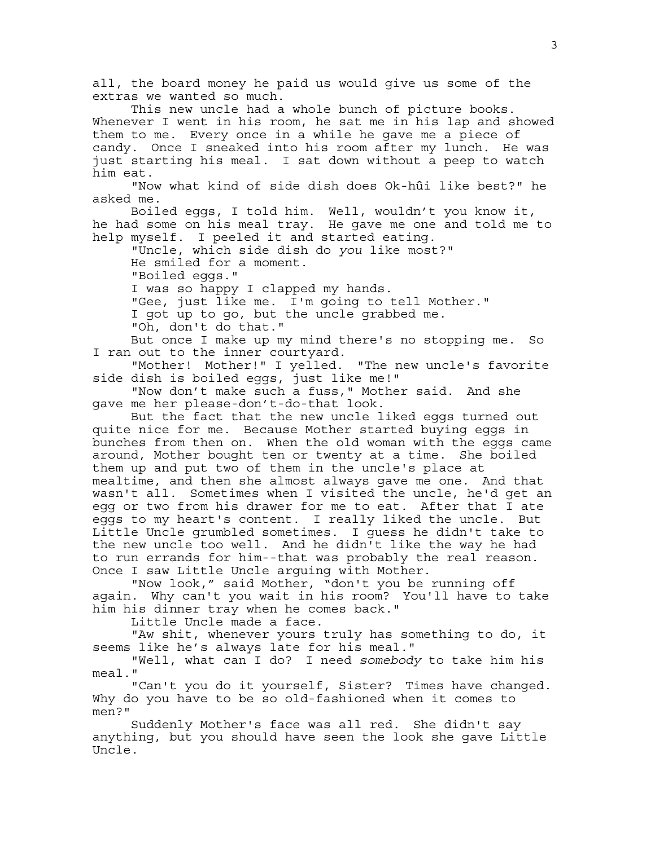all, the board money he paid us would give us some of the extras we wanted so much.

 This new uncle had a whole bunch of picture books. Whenever I went in his room, he sat me in his lap and showed them to me. Every once in a while he gave me a piece of candy. Once I sneaked into his room after my lunch. He was just starting his meal. I sat down without a peep to watch him eat.

 "Now what kind of side dish does Ok-hûi like best?" he asked me.

 Boiled eggs, I told him. Well, wouldn't you know it, he had some on his meal tray. He gave me one and told me to help myself. I peeled it and started eating.

 "Uncle, which side dish do *you* like most?" He smiled for a moment. "Boiled eggs." I was so happy I clapped my hands. "Gee, just like me. I'm going to tell Mother." I got up to go, but the uncle grabbed me. "Oh, don't do that."

 But once I make up my mind there's no stopping me. So I ran out to the inner courtyard.

 "Mother! Mother!" I yelled. "The new uncle's favorite side dish is boiled eggs, just like me!"

 "Now don't make such a fuss," Mother said. And she gave me her please-don't-do-that look.

 But the fact that the new uncle liked eggs turned out quite nice for me. Because Mother started buying eggs in bunches from then on. When the old woman with the eggs came around, Mother bought ten or twenty at a time. She boiled them up and put two of them in the uncle's place at mealtime, and then she almost always gave me one. And that wasn't all. Sometimes when I visited the uncle, he'd get an egg or two from his drawer for me to eat. After that I ate eggs to my heart's content. I really liked the uncle. But Little Uncle grumbled sometimes. I guess he didn't take to the new uncle too well. And he didn't like the way he had to run errands for him--that was probably the real reason. Once I saw Little Uncle arguing with Mother.

 "Now look," said Mother, "don't you be running off again. Why can't you wait in his room? You'll have to take him his dinner tray when he comes back."

Little Uncle made a face.

 "Aw shit, whenever yours truly has something to do, it seems like he's always late for his meal."

 "Well, what can I do? I need *somebody* to take him his meal."

 "Can't you do it yourself, Sister? Times have changed. Why do you have to be so old-fashioned when it comes to men?"

 Suddenly Mother's face was all red. She didn't say anything, but you should have seen the look she gave Little Uncle.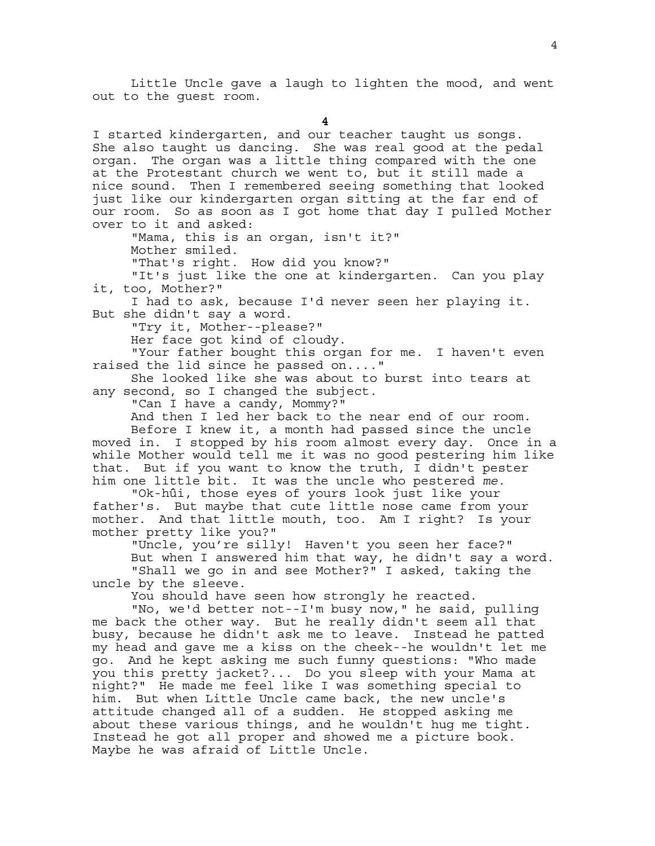4

 Little Uncle gave a laugh to lighten the mood, and went out to the guest room.

**4**

I started kindergarten, and our teacher taught us songs. She also taught us dancing. She was real good at the pedal organ. The organ was a little thing compared with the one at the Protestant church we went to, but it still made a nice sound. Then I remembered seeing something that looked just like our kindergarten organ sitting at the far end of our room. So as soon as I got home that day I pulled Mother over to it and asked:

 "Mama, this is an organ, isn't it?" Mother smiled.

"That's right. How did you know?"

 "It's just like the one at kindergarten. Can you play it, too, Mother?"

 I had to ask, because I'd never seen her playing it. But she didn't say a word.

"Try it, Mother--please?"

Her face got kind of cloudy.

 "Your father bought this organ for me. I haven't even raised the lid since he passed on...."

 She looked like she was about to burst into tears at any second, so I changed the subject.

"Can I have a candy, Mommy?"

And then I led her back to the near end of our room.

 Before I knew it, a month had passed since the uncle moved in. I stopped by his room almost every day. Once in a while Mother would tell me it was no good pestering him like that. But if you want to know the truth, I didn't pester him one little bit. It was the uncle who pestered *me*.

 "Ok-hûi, those eyes of yours look just like your father's. But maybe that cute little nose came from your mother. And that little mouth, too. Am I right? Is your mother pretty like you?"

"Uncle, you're silly! Haven't you seen her face?"

 But when I answered him that way, he didn't say a word. "Shall we go in and see Mother?" I asked, taking the uncle by the sleeve.

You should have seen how strongly he reacted.

 "No, we'd better not--I'm busy now," he said, pulling me back the other way. But he really didn't seem all that busy, because he didn't ask me to leave. Instead he patted my head and gave me a kiss on the cheek--he wouldn't let me go. And he kept asking me such funny questions: "Who made you this pretty jacket?... Do you sleep with your Mama at night?" He made me feel like I was something special to him. But when Little Uncle came back, the new uncle's attitude changed all of a sudden. He stopped asking me about these various things, and he wouldn't hug me tight. Instead he got all proper and showed me a picture book. Maybe he was afraid of Little Uncle.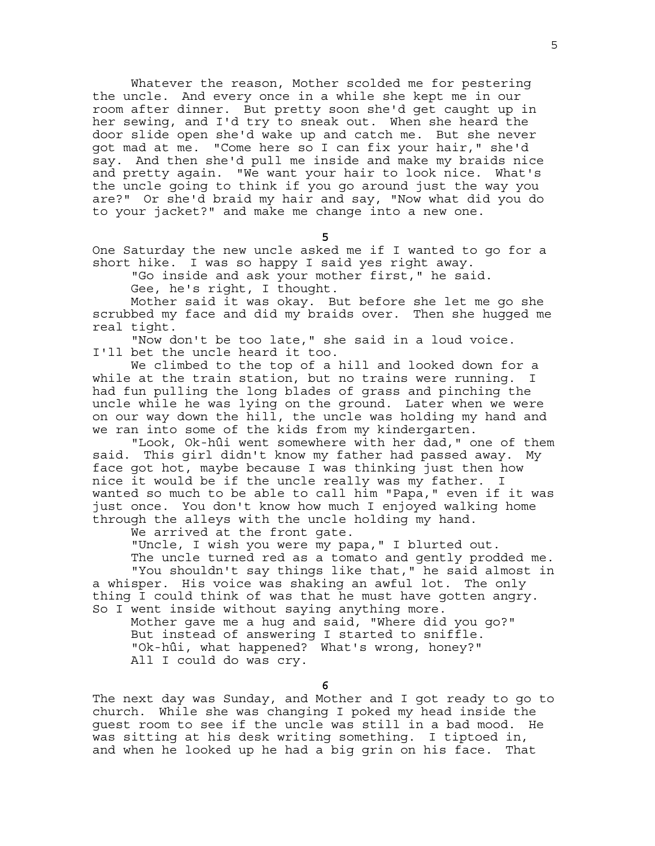Whatever the reason, Mother scolded me for pestering the uncle. And every once in a while she kept me in our room after dinner. But pretty soon she'd get caught up in her sewing, and I'd try to sneak out. When she heard the door slide open she'd wake up and catch me. But she never got mad at me. "Come here so I can fix your hair," she'd say. And then she'd pull me inside and make my braids nice and pretty again. "We want your hair to look nice. What's the uncle going to think if you go around just the way you are?" Or she'd braid my hair and say, "Now what did you do to your jacket?" and make me change into a new one.

**5**

One Saturday the new uncle asked me if I wanted to go for a short hike. I was so happy I said yes right away.

"Go inside and ask your mother first," he said.

Gee, he's right, I thought.

 Mother said it was okay. But before she let me go she scrubbed my face and did my braids over. Then she hugged me real tight.

 "Now don't be too late," she said in a loud voice. I'll bet the uncle heard it too.

 We climbed to the top of a hill and looked down for a while at the train station, but no trains were running. I had fun pulling the long blades of grass and pinching the uncle while he was lying on the ground. Later when we were on our way down the hill, the uncle was holding my hand and we ran into some of the kids from my kindergarten.

 "Look, Ok-hûi went somewhere with her dad," one of them said. This girl didn't know my father had passed away. My face got hot, maybe because I was thinking just then how nice it would be if the uncle really was my father. I wanted so much to be able to call him "Papa," even if it was just once. You don't know how much I enjoyed walking home through the alleys with the uncle holding my hand.

We arrived at the front gate.

 "Uncle, I wish you were my papa," I blurted out. The uncle turned red as a tomato and gently prodded me.

 "You shouldn't say things like that," he said almost in a whisper. His voice was shaking an awful lot. The only thing I could think of was that he must have gotten angry. So I went inside without saying anything more.

 Mother gave me a hug and said, "Where did you go?" But instead of answering I started to sniffle. "Ok-hûi, what happened? What's wrong, honey?" All I could do was cry.

**6**

The next day was Sunday, and Mother and I got ready to go to church. While she was changing I poked my head inside the guest room to see if the uncle was still in a bad mood. He was sitting at his desk writing something. I tiptoed in, and when he looked up he had a big grin on his face. That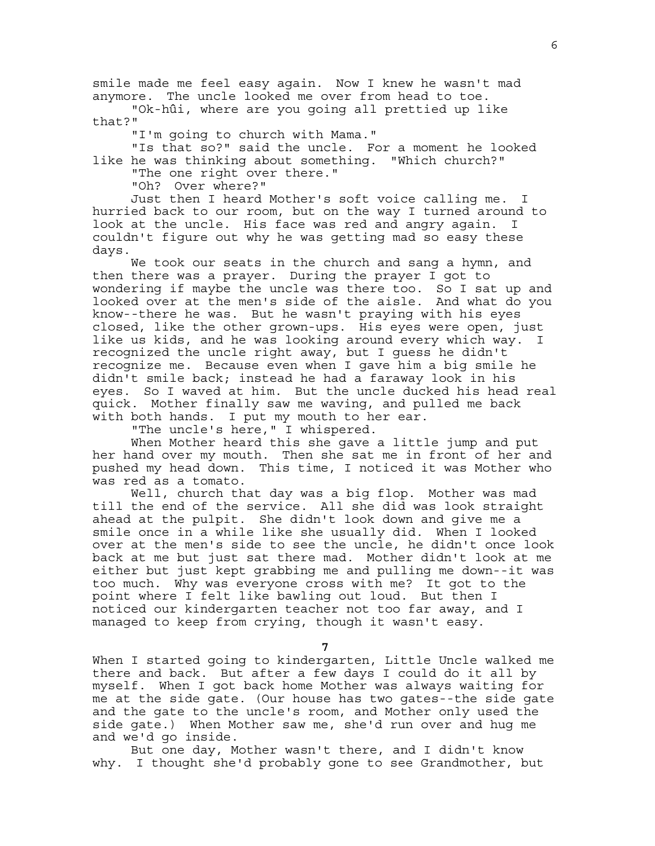smile made me feel easy again. Now I knew he wasn't mad anymore. The uncle looked me over from head to toe.

 "Ok-hûi, where are you going all prettied up like that?"

"I'm going to church with Mama."

 "Is that so?" said the uncle. For a moment he looked like he was thinking about something. "Which church?"

"The one right over there."

"Oh? Over where?"

 Just then I heard Mother's soft voice calling me. I hurried back to our room, but on the way I turned around to look at the uncle. His face was red and angry again. I couldn't figure out why he was getting mad so easy these days.

 We took our seats in the church and sang a hymn, and then there was a prayer. During the prayer I got to wondering if maybe the uncle was there too. So I sat up and looked over at the men's side of the aisle. And what do you know--there he was. But he wasn't praying with his eyes closed, like the other grown-ups. His eyes were open, just like us kids, and he was looking around every which way. I recognized the uncle right away, but I guess he didn't recognize me. Because even when I gave him a big smile he didn't smile back; instead he had a faraway look in his eyes. So I waved at him. But the uncle ducked his head real quick. Mother finally saw me waving, and pulled me back with both hands. I put my mouth to her ear.

"The uncle's here," I whispered.

 When Mother heard this she gave a little jump and put her hand over my mouth. Then she sat me in front of her and pushed my head down. This time, I noticed it was Mother who was red as a tomato.

 Well, church that day was a big flop. Mother was mad till the end of the service. All she did was look straight ahead at the pulpit. She didn't look down and give me a smile once in a while like she usually did. When I looked over at the men's side to see the uncle, he didn't once look back at me but just sat there mad. Mother didn't look at me either but just kept grabbing me and pulling me down--it was too much. Why was everyone cross with me? It got to the point where I felt like bawling out loud. But then I noticed our kindergarten teacher not too far away, and I managed to keep from crying, though it wasn't easy.

**7**

When I started going to kindergarten, Little Uncle walked me there and back. But after a few days I could do it all by myself. When I got back home Mother was always waiting for me at the side gate. (Our house has two gates--the side gate and the gate to the uncle's room, and Mother only used the side gate.) When Mother saw me, she'd run over and hug me and we'd go inside.

 But one day, Mother wasn't there, and I didn't know why. I thought she'd probably gone to see Grandmother, but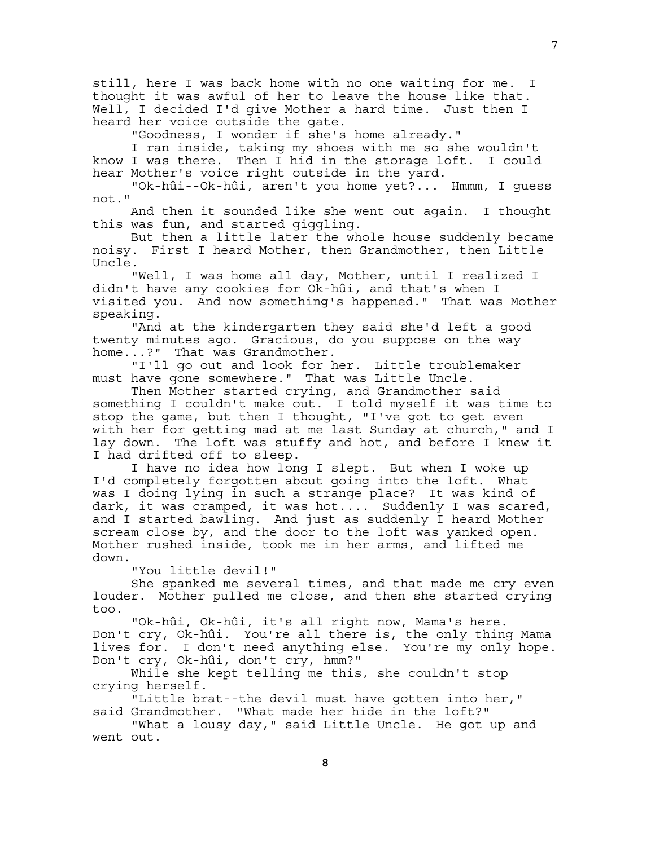still, here I was back home with no one waiting for me. I thought it was awful of her to leave the house like that. Well, I decided I'd give Mother a hard time. Just then I heard her voice outside the gate.

"Goodness, I wonder if she's home already."

 I ran inside, taking my shoes with me so she wouldn't know I was there. Then I hid in the storage loft. I could hear Mother's voice right outside in the yard.

 "Ok-hûi--Ok-hûi, aren't you home yet?... Hmmm, I guess not."

 And then it sounded like she went out again. I thought this was fun, and started giggling.

 But then a little later the whole house suddenly became noisy. First I heard Mother, then Grandmother, then Little Uncle.

 "Well, I was home all day, Mother, until I realized I didn't have any cookies for Ok-hûi, and that's when I visited you. And now something's happened." That was Mother speaking.

"And at the kindergarten they said she'd left a good twenty minutes ago. Gracious, do you suppose on the way home...?" That was Grandmother.

 "I'll go out and look for her. Little troublemaker must have gone somewhere." That was Little Uncle.

 Then Mother started crying, and Grandmother said something I couldn't make out. I told myself it was time to stop the game, but then I thought, "I've got to get even with her for getting mad at me last Sunday at church," and I lay down. The loft was stuffy and hot, and before I knew it I had drifted off to sleep.

 I have no idea how long I slept. But when I woke up I'd completely forgotten about going into the loft. What was I doing lying in such a strange place? It was kind of dark, it was cramped, it was hot.... Suddenly I was scared, and I started bawling. And just as suddenly I heard Mother scream close by, and the door to the loft was yanked open. Mother rushed inside, took me in her arms, and lifted me down.

"You little devil!"

 She spanked me several times, and that made me cry even louder. Mother pulled me close, and then she started crying too.

 "Ok-hûi, Ok-hûi, it's all right now, Mama's here. Don't cry, Ok-hûi. You're all there is, the only thing Mama lives for. I don't need anything else. You're my only hope. Don't cry, Ok-hûi, don't cry, hmm?"

 While she kept telling me this, she couldn't stop crying herself.

 "Little brat--the devil must have gotten into her," said Grandmother. "What made her hide in the loft?"

 "What a lousy day," said Little Uncle. He got up and went out.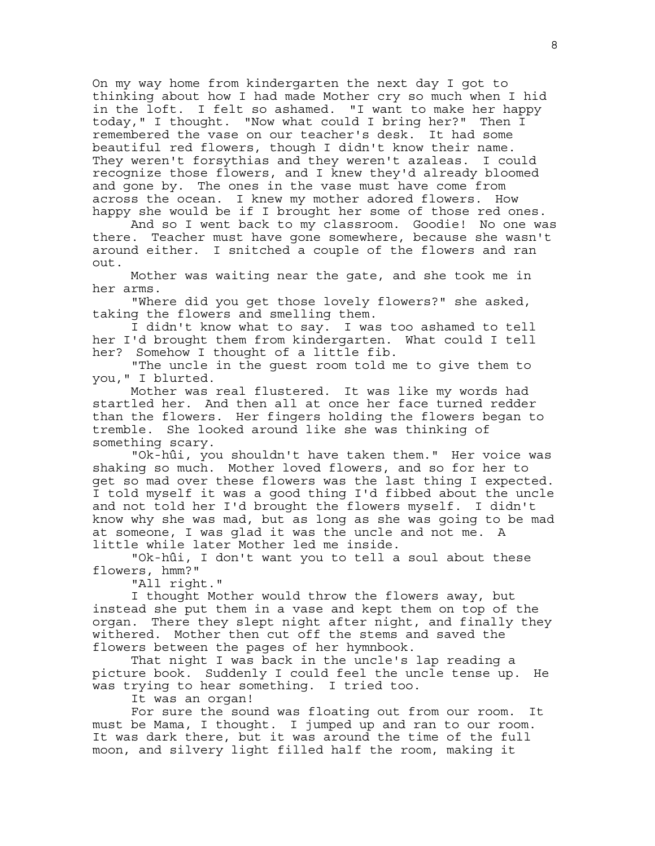On my way home from kindergarten the next day I got to thinking about how I had made Mother cry so much when I hid in the loft. I felt so ashamed. "I want to make her happy today," I thought. "Now what could I bring her?" Then I remembered the vase on our teacher's desk. It had some beautiful red flowers, though I didn't know their name. They weren't forsythias and they weren't azaleas. I could recognize those flowers, and I knew they'd already bloomed and gone by. The ones in the vase must have come from across the ocean. I knew my mother adored flowers. How happy she would be if I brought her some of those red ones.

 And so I went back to my classroom. Goodie! No one was there. Teacher must have gone somewhere, because she wasn't around either. I snitched a couple of the flowers and ran out.

 Mother was waiting near the gate, and she took me in her arms.

 "Where did you get those lovely flowers?" she asked, taking the flowers and smelling them.

 I didn't know what to say. I was too ashamed to tell her I'd brought them from kindergarten. What could I tell her? Somehow I thought of a little fib.

 "The uncle in the guest room told me to give them to you," I blurted.

 Mother was real flustered. It was like my words had startled her. And then all at once her face turned redder than the flowers. Her fingers holding the flowers began to tremble. She looked around like she was thinking of something scary.

 "Ok-hûi, you shouldn't have taken them." Her voice was shaking so much. Mother loved flowers, and so for her to get so mad over these flowers was the last thing I expected. I told myself it was a good thing I'd fibbed about the uncle and not told her I'd brought the flowers myself. I didn't know why she was mad, but as long as she was going to be mad at someone, I was glad it was the uncle and not me. A little while later Mother led me inside.

 "Ok-hûi, I don't want you to tell a soul about these flowers, hmm?"

"All right."

 I thought Mother would throw the flowers away, but instead she put them in a vase and kept them on top of the organ. There they slept night after night, and finally they withered. Mother then cut off the stems and saved the flowers between the pages of her hymnbook.

 That night I was back in the uncle's lap reading a picture book. Suddenly I could feel the uncle tense up. He was trying to hear something. I tried too.

It was an organ!

 For sure the sound was floating out from our room. It must be Mama, I thought. I jumped up and ran to our room. It was dark there, but it was around the time of the full moon, and silvery light filled half the room, making it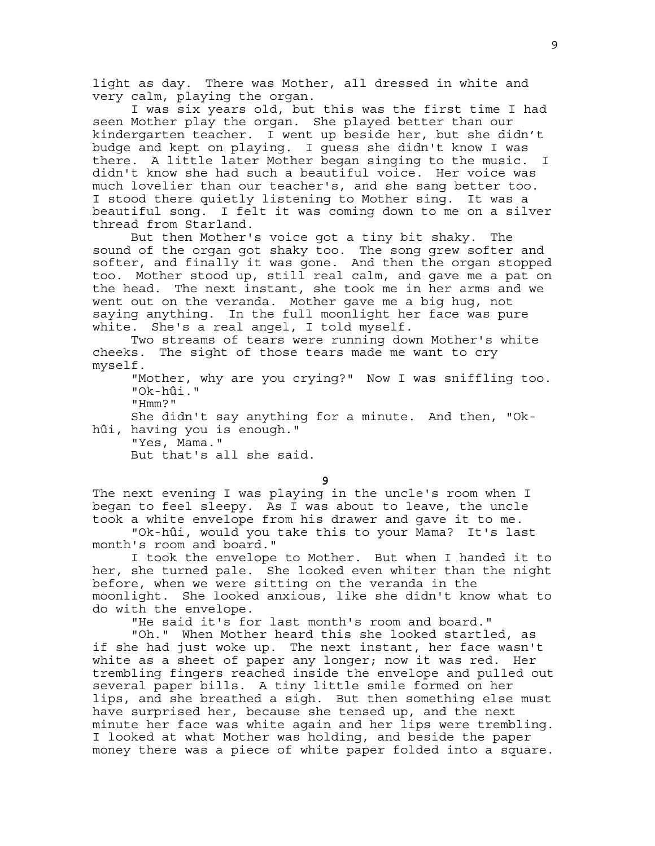light as day. There was Mother, all dressed in white and very calm, playing the organ.

 I was six years old, but this was the first time I had seen Mother play the organ. She played better than our kindergarten teacher. I went up beside her, but she didn't budge and kept on playing. I guess she didn't know I was there. A little later Mother began singing to the music. I didn't know she had such a beautiful voice. Her voice was much lovelier than our teacher's, and she sang better too. I stood there quietly listening to Mother sing. It was a beautiful song. I felt it was coming down to me on a silver thread from Starland.

 But then Mother's voice got a tiny bit shaky. The sound of the organ got shaky too. The song grew softer and softer, and finally it was gone. And then the organ stopped too. Mother stood up, still real calm, and gave me a pat on the head. The next instant, she took me in her arms and we went out on the veranda. Mother gave me a big hug, not saying anything. In the full moonlight her face was pure white. She's a real angel, I told myself.

 Two streams of tears were running down Mother's white cheeks. The sight of those tears made me want to cry myself.

 "Mother, why are you crying?" Now I was sniffling too. "Ok-hûi." "Hmm?"

 She didn't say anything for a minute. And then, "Okhûi, having you is enough."

 "Yes, Mama." But that's all she said.

**9**

The next evening I was playing in the uncle's room when I began to feel sleepy. As I was about to leave, the uncle took a white envelope from his drawer and gave it to me.

 "Ok-hûi, would you take this to your Mama? It's last month's room and board."

 I took the envelope to Mother. But when I handed it to her, she turned pale. She looked even whiter than the night before, when we were sitting on the veranda in the moonlight. She looked anxious, like she didn't know what to do with the envelope.

"He said it's for last month's room and board."

 "Oh." When Mother heard this she looked startled, as if she had just woke up. The next instant, her face wasn't white as a sheet of paper any longer; now it was red. Her trembling fingers reached inside the envelope and pulled out several paper bills. A tiny little smile formed on her lips, and she breathed a sigh. But then something else must have surprised her, because she tensed up, and the next minute her face was white again and her lips were trembling. I looked at what Mother was holding, and beside the paper money there was a piece of white paper folded into a square.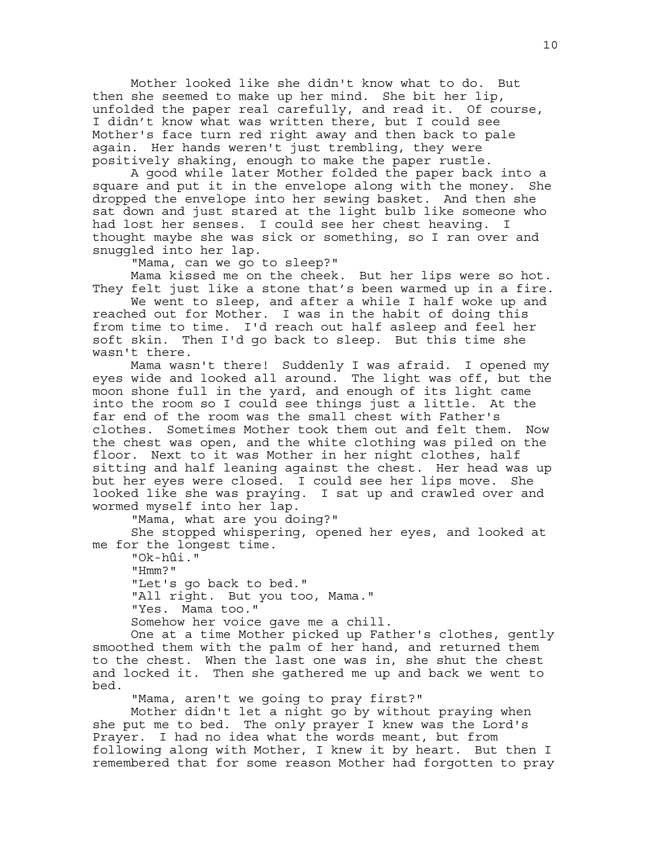Mother looked like she didn't know what to do. But then she seemed to make up her mind. She bit her lip, unfolded the paper real carefully, and read it. Of course, I didn't know what was written there, but I could see Mother's face turn red right away and then back to pale again. Her hands weren't just trembling, they were positively shaking, enough to make the paper rustle.

 A good while later Mother folded the paper back into a square and put it in the envelope along with the money. She dropped the envelope into her sewing basket. And then she sat down and just stared at the light bulb like someone who had lost her senses. I could see her chest heaving. I thought maybe she was sick or something, so I ran over and snuggled into her lap.

"Mama, can we go to sleep?"

 Mama kissed me on the cheek. But her lips were so hot. They felt just like a stone that's been warmed up in a fire.

 We went to sleep, and after a while I half woke up and reached out for Mother. I was in the habit of doing this from time to time. I'd reach out half asleep and feel her soft skin. Then I'd go back to sleep. But this time she wasn't there.

 Mama wasn't there! Suddenly I was afraid. I opened my eyes wide and looked all around. The light was off, but the moon shone full in the yard, and enough of its light came into the room so I could see things just a little. At the far end of the room was the small chest with Father's clothes. Sometimes Mother took them out and felt them. Now the chest was open, and the white clothing was piled on the floor. Next to it was Mother in her night clothes, half sitting and half leaning against the chest. Her head was up but her eyes were closed. I could see her lips move. She looked like she was praying. I sat up and crawled over and wormed myself into her lap.

"Mama, what are you doing?"

 She stopped whispering, opened her eyes, and looked at me for the longest time.

 "Ok-hûi." "Hmm?" "Let's go back to bed." "All right. But you too, Mama." "Yes. Mama too." Somehow her voice gave me a chill.

 One at a time Mother picked up Father's clothes, gently smoothed them with the palm of her hand, and returned them to the chest. When the last one was in, she shut the chest and locked it. Then she gathered me up and back we went to bed.

"Mama, aren't we going to pray first?"

 Mother didn't let a night go by without praying when she put me to bed. The only prayer I knew was the Lord's Prayer. I had no idea what the words meant, but from following along with Mother, I knew it by heart. But then I remembered that for some reason Mother had forgotten to pray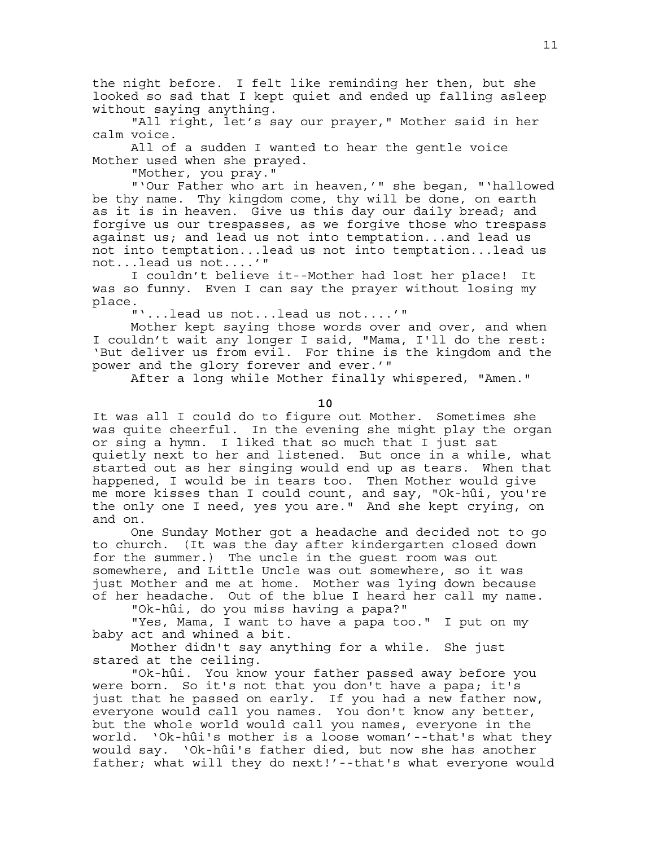the night before. I felt like reminding her then, but she looked so sad that I kept quiet and ended up falling asleep without saying anything.

 "All right, let's say our prayer," Mother said in her calm voice.

 All of a sudden I wanted to hear the gentle voice Mother used when she prayed.

"Mother, you pray."

 "'Our Father who art in heaven,'" she began, "'hallowed be thy name. Thy kingdom come, thy will be done, on earth as it is in heaven. Give us this day our daily bread; and forgive us our trespasses, as we forgive those who trespass against us; and lead us not into temptation...and lead us not into temptation...lead us not into temptation...lead us not...lead us not....'"

 I couldn't believe it--Mother had lost her place! It was so funny. Even I can say the prayer without losing my place.

"'...lead us not...lead us not....'"

 Mother kept saying those words over and over, and when I couldn't wait any longer I said, "Mama, I'll do the rest: 'But deliver us from evil. For thine is the kingdom and the power and the glory forever and ever.'"

After a long while Mother finally whispered, "Amen."

**10**

It was all I could do to figure out Mother. Sometimes she was quite cheerful. In the evening she might play the organ or sing a hymn. I liked that so much that I just sat quietly next to her and listened. But once in a while, what started out as her singing would end up as tears. When that happened, I would be in tears too. Then Mother would give me more kisses than I could count, and say, "Ok-hûi, you're the only one I need, yes you are." And she kept crying, on and on.

 One Sunday Mother got a headache and decided not to go to church. (It was the day after kindergarten closed down for the summer.) The uncle in the guest room was out somewhere, and Little Uncle was out somewhere, so it was just Mother and me at home. Mother was lying down because of her headache. Out of the blue I heard her call my name.

"Ok-hûi, do you miss having a papa?"

 "Yes, Mama, I want to have a papa too." I put on my baby act and whined a bit.

 Mother didn't say anything for a while. She just stared at the ceiling.

 "Ok-hûi. You know your father passed away before you were born. So it's not that you don't have a papa; it's just that he passed on early. If you had a new father now, everyone would call you names. You don't know any better, but the whole world would call you names, everyone in the world. 'Ok-hûi's mother is a loose woman'--that's what they would say. 'Ok-hûi's father died, but now she has another father; what will they do next!'--that's what everyone would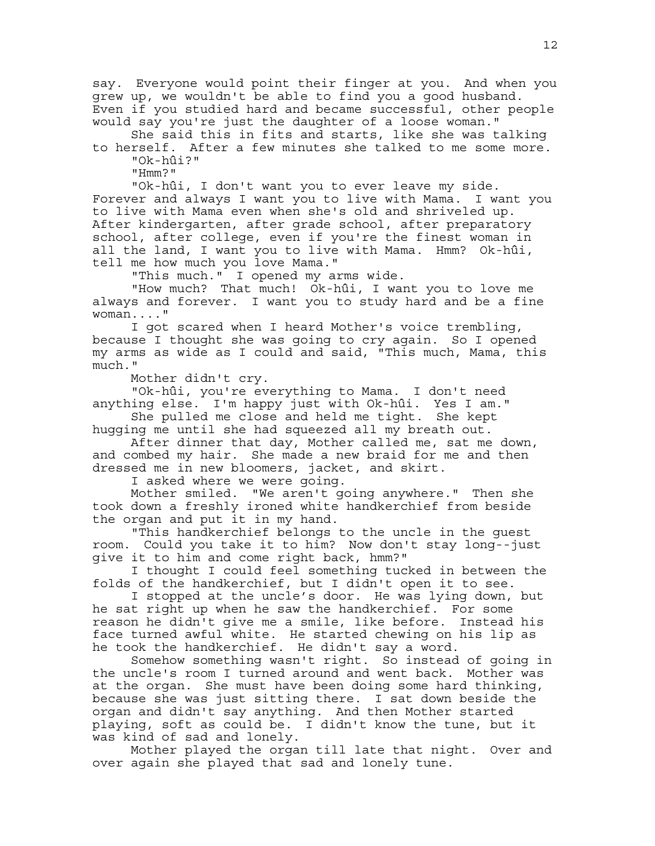say. Everyone would point their finger at you. And when you grew up, we wouldn't be able to find you a good husband. Even if you studied hard and became successful, other people would say you're just the daughter of a loose woman."

 She said this in fits and starts, like she was talking to herself. After a few minutes she talked to me some more. "Ok-hûi?"

"Hmm?"

 "Ok-hûi, I don't want you to ever leave my side. Forever and always I want you to live with Mama. I want you to live with Mama even when she's old and shriveled up. After kindergarten, after grade school, after preparatory school, after college, even if you're the finest woman in all the land, I want you to live with Mama. Hmm? Ok-hûi, tell me how much you love Mama."

"This much." I opened my arms wide.

 "How much? That much! Ok-hûi, I want you to love me always and forever. I want you to study hard and be a fine woman...."

 I got scared when I heard Mother's voice trembling, because I thought she was going to cry again. So I opened my arms as wide as I could and said, "This much, Mama, this much."

Mother didn't cry.

 "Ok-hûi, you're everything to Mama. I don't need anything else. I'm happy just with Ok-hûi. Yes I am."

 She pulled me close and held me tight. She kept hugging me until she had squeezed all my breath out.

 After dinner that day, Mother called me, sat me down, and combed my hair. She made a new braid for me and then dressed me in new bloomers, jacket, and skirt.

I asked where we were going.

 Mother smiled. "We aren't going anywhere." Then she took down a freshly ironed white handkerchief from beside the organ and put it in my hand.

 "This handkerchief belongs to the uncle in the guest room. Could you take it to him? Now don't stay long--just give it to him and come right back, hmm?"

 I thought I could feel something tucked in between the folds of the handkerchief, but I didn't open it to see.

 I stopped at the uncle's door. He was lying down, but he sat right up when he saw the handkerchief. For some reason he didn't give me a smile, like before. Instead his face turned awful white. He started chewing on his lip as he took the handkerchief. He didn't say a word.

 Somehow something wasn't right. So instead of going in the uncle's room I turned around and went back. Mother was at the organ. She must have been doing some hard thinking, because she was just sitting there. I sat down beside the organ and didn't say anything. And then Mother started playing, soft as could be. I didn't know the tune, but it was kind of sad and lonely.

 Mother played the organ till late that night. Over and over again she played that sad and lonely tune.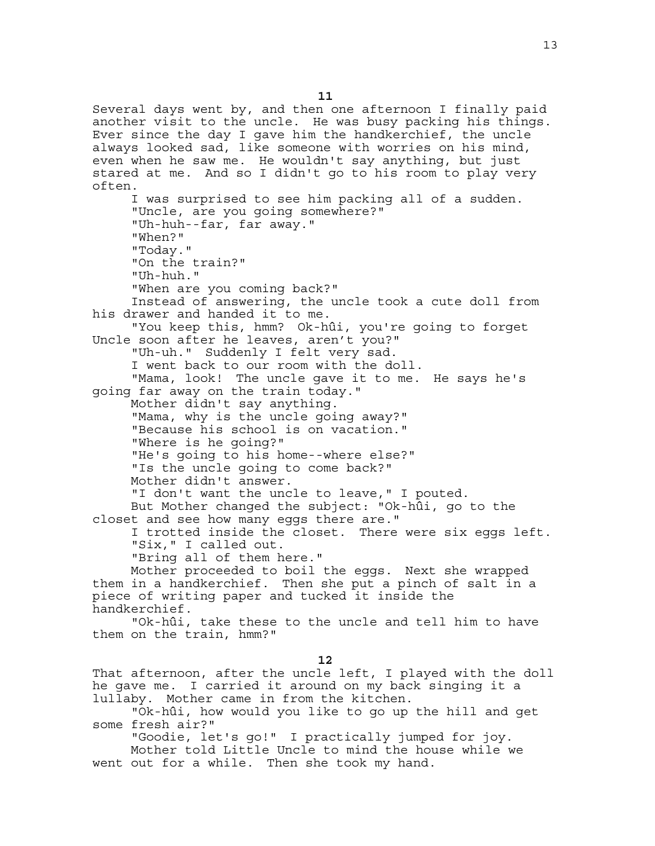another visit to the uncle. He was busy packing his things. Ever since the day I gave him the handkerchief, the uncle always looked sad, like someone with worries on his mind, even when he saw me. He wouldn't say anything, but just stared at me. And so I didn't go to his room to play very often. I was surprised to see him packing all of a sudden. "Uncle, are you going somewhere?" "Uh-huh--far, far away." "When?" "Today." "On the train?" "Uh-huh." "When are you coming back?" Instead of answering, the uncle took a cute doll from his drawer and handed it to me. "You keep this, hmm? Ok-hûi, you're going to forget Uncle soon after he leaves, aren't you?" "Uh-uh." Suddenly I felt very sad. I went back to our room with the doll. "Mama, look! The uncle gave it to me. He says he's going far away on the train today." Mother didn't say anything. "Mama, why is the uncle going away?" "Because his school is on vacation." "Where is he going?" "He's going to his home--where else?" "Is the uncle going to come back?" Mother didn't answer. "I don't want the uncle to leave," I pouted. But Mother changed the subject: "Ok-hûi, go to the closet and see how many eggs there are." I trotted inside the closet. There were six eggs left. "Six," I called out. "Bring all of them here." Mother proceeded to boil the eggs. Next she wrapped them in a handkerchief. Then she put a pinch of salt in a piece of writing paper and tucked it inside the handkerchief. "Ok-hûi, take these to the uncle and tell him to have them on the train, hmm?" **12** That afternoon, after the uncle left, I played with the doll he gave me. I carried it around on my back singing it a lullaby. Mother came in from the kitchen. "Ok-hûi, how would you like to go up the hill and get some fresh air?" "Goodie, let's go!" I practically jumped for joy. Mother told Little Uncle to mind the house while we went out for a while. Then she took my hand.

13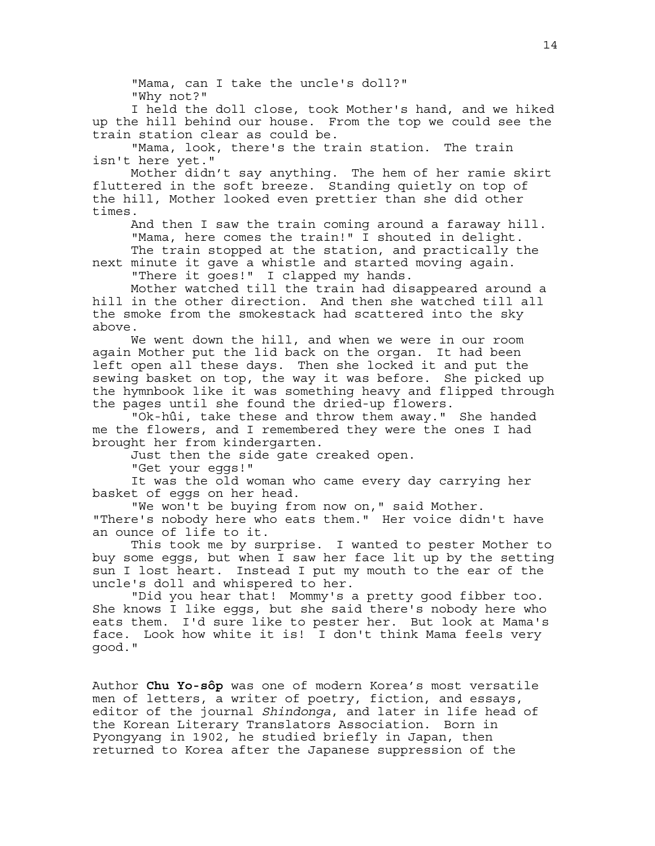"Mama, can I take the uncle's doll?" "Why not?"

 I held the doll close, took Mother's hand, and we hiked up the hill behind our house. From the top we could see the train station clear as could be.

 "Mama, look, there's the train station. The train isn't here yet."

 Mother didn't say anything. The hem of her ramie skirt fluttered in the soft breeze. Standing quietly on top of the hill, Mother looked even prettier than she did other times.

 And then I saw the train coming around a faraway hill. "Mama, here comes the train!" I shouted in delight.

 The train stopped at the station, and practically the next minute it gave a whistle and started moving again.

"There it goes!" I clapped my hands.

 Mother watched till the train had disappeared around a hill in the other direction. And then she watched till all the smoke from the smokestack had scattered into the sky above.

 We went down the hill, and when we were in our room again Mother put the lid back on the organ. It had been left open all these days. Then she locked it and put the sewing basket on top, the way it was before. She picked up the hymnbook like it was something heavy and flipped through the pages until she found the dried-up flowers.

 "Ok-hûi, take these and throw them away." She handed me the flowers, and I remembered they were the ones I had brought her from kindergarten.

Just then the side gate creaked open.

"Get your eggs!"

 It was the old woman who came every day carrying her basket of eggs on her head.

"We won't be buying from now on," said Mother.

"There's nobody here who eats them." Her voice didn't have an ounce of life to it.

 This took me by surprise. I wanted to pester Mother to buy some eggs, but when I saw her face lit up by the setting sun I lost heart. Instead I put my mouth to the ear of the uncle's doll and whispered to her.

 "Did you hear that! Mommy's a pretty good fibber too. She knows I like eggs, but she said there's nobody here who eats them. I'd sure like to pester her. But look at Mama's face. Look how white it is! I don't think Mama feels very good."

Author **Chu Yo-sôp** was one of modern Korea's most versatile men of letters, a writer of poetry, fiction, and essays, editor of the journal *Shindonga*, and later in life head of the Korean Literary Translators Association. Born in Pyongyang in 1902, he studied briefly in Japan, then returned to Korea after the Japanese suppression of the